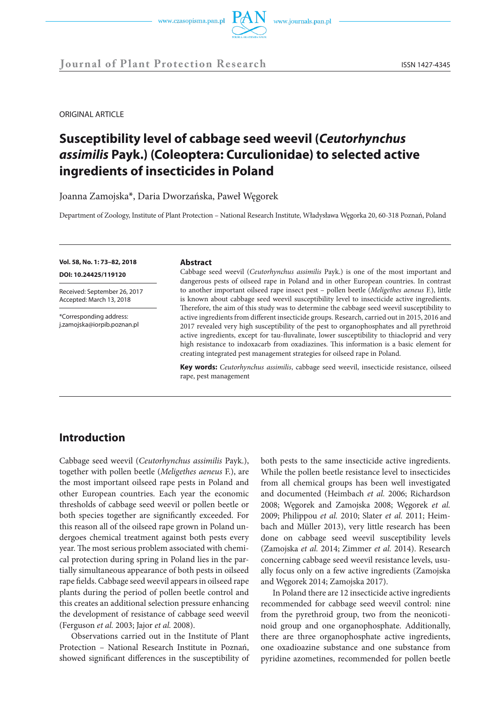

ORIGINAL ARTICLE

# **Susceptibility level of cabbage seed weevil (***Ceutorhynchus assimilis* **Payk.) (Coleoptera: Curculionidae) to selected active ingredients of insecticides in Poland**

Joanna Zamojska\*, Daria Dworzańska, Paweł Węgorek

Department of Zoology, Institute of Plant Protection – National Research Institute, Władysława Węgorka 20, 60-318 Poznań, Poland

**Vol. 58, No. 1: 73–82, 2018**

**DOI: 10.24425/119120** 

Received: September 26, 2017 Accepted: March 13, 2018

\*Corresponding address: j.zamojska@iorpib.poznan.pl

### **Abstract**

Cabbage seed weevil (*Ceutorhynchus assimilis* Payk.) is one of the most important and dangerous pests of oilseed rape in Poland and in other European countries. In contrast to another important oilseed rape insect pest – pollen beetle (*Meligethes aeneus* F.), little is known about cabbage seed weevil susceptibility level to insecticide active ingredients. Therefore, the aim of this study was to determine the cabbage seed weevil susceptibility to active ingredients from different insecticide groups. Research, carried out in 2015, 2016 and 2017 revealed very high susceptibility of the pest to organophosphates and all pyrethroid active ingredients, except for tau-fluvalinate, lower susceptibility to thiacloprid and very high resistance to indoxacarb from oxadiazines. This information is a basic element for creating integrated pest management strategies for oilseed rape in Poland.

**Key words:** *Ceutorhynchus assimilis*, cabbage seed weevil, insecticide resistance, oilseed rape, pest management

# **Introduction**

Cabbage seed weevil (*Ceutorhynchus assimilis* Payk.), together with pollen beetle (*Meligethes aeneus* F.), are the most important oilseed rape pests in Poland and other European countries. Each year the economic thresholds of cabbage seed weevil or pollen beetle or both species together are significantly exceeded. For this reason all of the oilseed rape grown in Poland undergoes chemical treatment against both pests every year. The most serious problem associated with chemical protection during spring in Poland lies in the partially simultaneous appearance of both pests in oilseed rape fields. Cabbage seed weevil appears in oilseed rape plants during the period of pollen beetle control and this creates an additional selection pressure enhancing the development of resistance of cabbage seed weevil (Ferguson *et al.* 2003; Jajor *et al.* 2008).

Observations carried out in the Institute of Plant Protection – National Research Institute in Poznań, showed significant differences in the susceptibility of

both pests to the same insecticide active ingredients. While the pollen beetle resistance level to insecticides from all chemical groups has been well investigated and documented (Heimbach *et al.* 2006; Richardson 2008; Węgorek and Zamojska 2008; Węgorek *et al.* 2009; Philippou *et al.* 2010; Slater *et al.* 2011; Heimbach and Müller 2013), very little research has been done on cabbage seed weevil susceptibility levels (Zamojska *et al.* 2014; Zimmer *et al.* 2014). Research concerning cabbage seed weevil resistance levels, usually focus only on a few active ingredients (Zamojska and Węgorek 2014; Zamojska 2017).

In Poland there are 12 insecticide active ingredients recommended for cabbage seed weevil control: nine from the pyrethroid group, two from the neonicotinoid group and one organophosphate. Additionally, there are three organophosphate active ingredients, one oxadioazine substance and one substance from pyridine azometines, recommended for pollen beetle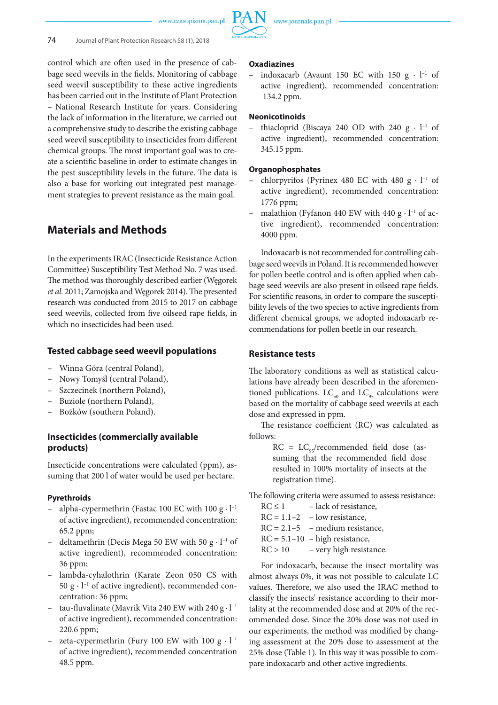www.czasopisma.pan.pl



control which are often used in the presence of cabbage seed weevils in the fields. Monitoring of cabbage seed weevil susceptibility to these active ingredients has been carried out in the Institute of Plant Protection – National Research Institute for years. Considering the lack of information in the literature, we carried out a comprehensive study to describe the existing cabbage seed weevil susceptibility to insecticides from different chemical groups. The most important goal was to create a scientific baseline in order to estimate changes in the pest susceptibility levels in the future. The data is also a base for working out integrated pest management strategies to prevent resistance as the main goal.

# **Materials and Methods**

In the experiments IRAC (Insecticide Resistance Action Committee) Susceptibility Test Method No. 7 was used. The method was thoroughly described earlier (Węgorek *et al.* 2011; Zamojska and Węgorek 2014). The presented research was conducted from 2015 to 2017 on cabbage seed weevils, collected from five oilseed rape fields, in which no insecticides had been used.

### **Tested cabbage seed weevil populations**

- Winna Góra (central Poland),
- Nowy Tomyśl (central Poland),
- Szczecinek (northern Poland),
- Buziole (northern Poland),
- Bożków (southern Poland).

## **Insecticides (commercially available products)**

Insecticide concentrations were calculated (ppm), assuming that 200 l of water would be used per hectare.

### **Pyrethroids**

- alpha-cypermethrin (Fastac 100 EC with 100 g  $\cdot$  l<sup>-1</sup> of active ingredient), recommended concentration: 65.2 ppm;
- deltamethrin (Decis Mega 50 EW with 50 g ⋅  $l^{-1}$  of active ingredient), recommended concentration: 36 ppm;
- lambda-cyhalothrin (Karate Zeon 050 CS with 50 g ∙ l−1 of active ingredient), recommended concentration: 36 ppm;
- tau-fluvalinate (Mavrik Vita 240 EW with 240 g ∙ l−1 of active ingredient), recommended concentration: 220.6 ppm;
- zeta-cypermethrin (Fury 100 EW with 100 g  $\cdot$  l<sup>-1</sup> of active ingredient), recommended concentration 48.5 ppm.

### **Oxadiazines**

indoxacarb (Avaunt 150 EC with 150 g  $\cdot$  l<sup>-1</sup> of active ingredient), recommended concentration: 134.2 ppm.

### **Neonicotinoids**

thiacloprid (Biscaya 240 OD with 240 g  $\cdot$  l<sup>-1</sup> of active ingredient), recommended concentration: 345.15 ppm.

### **Organophosphates**

- chlorpyrifos (Pyrinex 480 EC with 480 g ∙ l−1 of active ingredient), recommended concentration: 1776 ppm;
- malathion (Fyfanon 440 EW with 440 g ∙ l−1 of active ingredient), recommended concentration: 4000 ppm.

Indoxacarb is not recommended for controlling cabbage seed weevils in Poland. It is recommended however for pollen beetle control and is often applied when cabbage seed weevils are also present in oilseed rape fields. For scientific reasons, in order to compare the susceptibility levels of the two species to active ingredients from different chemical groups, we adopted indoxacarb recommendations for pollen beetle in our research.

### **Resistance tests**

The laboratory conditions as well as statistical calculations have already been described in the aforementioned publications.  $LC_{50}$  and  $LC_{95}$  calculations were based on the mortality of cabbage seed weevils at each dose and expressed in ppm.

The resistance coefficient (RC) was calculated as follows:

> $RC = LC_{\alpha5}/recommended$  field dose (assuming that the recommended field dose resulted in 100% mortality of insects at the registration time).

The following criteria were assumed to assess resistance:

| $RC \leq 1$    | – lack of resistance,               |
|----------------|-------------------------------------|
| $RC = 1.1 - 2$ | - low resistance,                   |
|                | $RC = 2.1 - 5$ – medium resistance, |
|                | $RC = 5.1 - 10$ - high resistance,  |
| RC > 10        | - very high resistance.             |

For indoxacarb, because the insect mortality was almost always 0%, it was not possible to calculate LC values. Therefore, we also used the IRAC method to classify the insects' resistance according to their mortality at the recommended dose and at 20% of the recommended dose. Since the 20% dose was not used in our experiments, the method was modified by changing assessment at the 20% dose to assessment at the 25% dose (Table 1). In this way it was possible to compare indoxacarb and other active ingredients.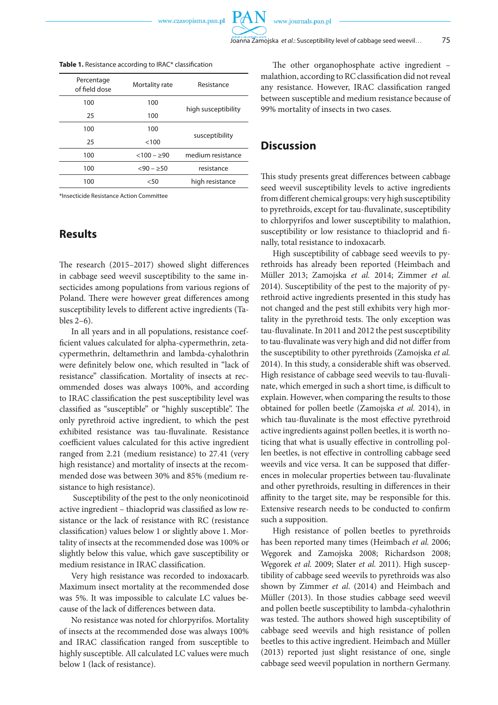www.czasopisma.pan.pl

PA

| Percentage<br>of field dose | Mortality rate | Resistance          |
|-----------------------------|----------------|---------------------|
| 100                         | 100            |                     |
| 25                          | 100            | high susceptibility |
| 100                         | 100            |                     |
| 25                          | <100           | susceptibility      |
| 100                         | $< 100 - 290$  | medium resistance   |
| 100                         | $< 90 - > 50$  | resistance          |
| 100                         | < 50           | high resistance     |

**Table 1.** Resistance according to IRAC\* classification

\*Insecticide Resistance Action Committee

# **Results**

The research (2015–2017) showed slight differences in cabbage seed weevil susceptibility to the same insecticides among populations from various regions of Poland. There were however great differences among susceptibility levels to different active ingredients (Tables 2–6).

In all years and in all populations, resistance coefficient values calculated for alpha-cypermethrin, zetacypermethrin, deltamethrin and lambda-cyhalothrin were definitely below one, which resulted in "lack of resistance" classification. Mortality of insects at recommended doses was always 100%, and according to IRAC classification the pest susceptibility level was classified as "susceptible" or "highly susceptible". The only pyrethroid active ingredient, to which the pest exhibited resistance was tau-fluvalinate. Resistance coefficient values calculated for this active ingredient ranged from 2.21 (medium resistance) to 27.41 (very high resistance) and mortality of insects at the recommended dose was between 30% and 85% (medium resistance to high resistance).

 Susceptibility of the pest to the only neonicotinoid active ingredient – thiacloprid was classified as low resistance or the lack of resistance with RC (resistance classification) values below 1 or slightly above 1. Mortality of insects at the recommended dose was 100% or slightly below this value, which gave susceptibility or medium resistance in IRAC classification.

Very high resistance was recorded to indoxacarb. Maximum insect mortality at the recommended dose was 5%. It was impossible to calculate LC values because of the lack of differences between data.

No resistance was noted for chlorpyrifos. Mortality of insects at the recommended dose was always 100% and IRAC classification ranged from susceptible to highly susceptible. All calculated LC values were much below 1 (lack of resistance).

The other organophosphate active ingredient – malathion, according to RC classification did not reveal any resistance. However, IRAC classification ranged between susceptible and medium resistance because of 99% mortality of insects in two cases.

# **Discussion**

This study presents great differences between cabbage seed weevil susceptibility levels to active ingredients from different chemical groups: very high susceptibility to pyrethroids, except for tau-fluvalinate, susceptibility to chlorpyrifos and lower susceptibility to malathion, susceptibility or low resistance to thiacloprid and finally, total resistance to indoxacarb.

High susceptibility of cabbage seed weevils to pyrethroids has already been reported (Heimbach and Müller 2013; Zamojska *et al.* 2014; Zimmer *et al.* 2014). Susceptibility of the pest to the majority of pyrethroid active ingredients presented in this study has not changed and the pest still exhibits very high mortality in the pyrethroid tests. The only exception was tau-fluvalinate. In 2011 and 2012 the pest susceptibility to tau-fluvalinate was very high and did not differ from the susceptibility to other pyrethroids (Zamojska *et al.* 2014). In this study, a considerable shift was observed. High resistance of cabbage seed weevils to tau-fluvalinate, which emerged in such a short time, is difficult to explain. However, when comparing the results to those obtained for pollen beetle (Zamojska *et al.* 2014), in which tau-fluvalinate is the most effective pyrethroid active ingredients against pollen beetles, it is worth noticing that what is usually effective in controlling pollen beetles, is not effective in controlling cabbage seed weevils and vice versa. It can be supposed that differences in molecular properties between tau-fluvalinate and other pyrethroids, resulting in differences in their affinity to the target site, may be responsible for this. Extensive research needs to be conducted to confirm such a supposition.

High resistance of pollen beetles to pyrethroids has been reported many times (Heimbach *et al.* 2006; Węgorek and Zamojska 2008; Richardson 2008; Węgorek *et al.* 2009; Slater *et al.* 2011). High susceptibility of cabbage seed weevils to pyrethroids was also shown by Zimmer *et al*. (2014) and Heimbach and Müller (2013). In those studies cabbage seed weevil and pollen beetle susceptibility to lambda-cyhalothrin was tested. The authors showed high susceptibility of cabbage seed weevils and high resistance of pollen beetles to this active ingredient. Heimbach and Müller (2013) reported just slight resistance of one, single cabbage seed weevil population in northern Germany.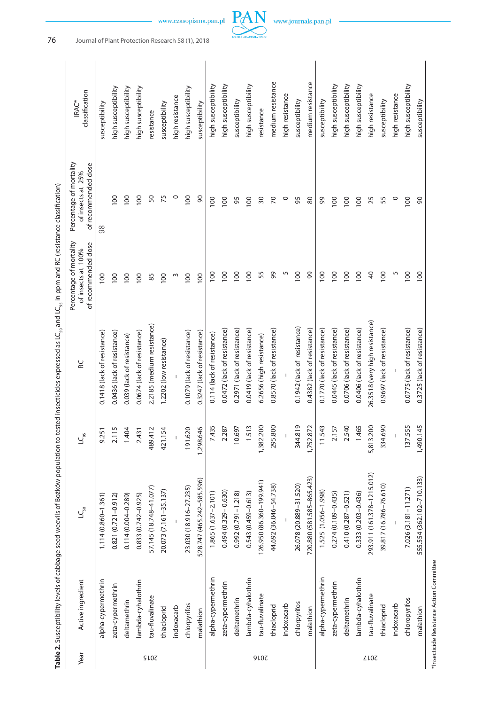|       |                    | <b>Table 2</b> . Susceptibility levels of cabbage seed weevils of Bozków population to tested insecticides expressed as LC <sub>s,</sub> and LC <sub>s,</sub> in ppm and RC (resistance classification) |           |                              |                                           |                                                                                             |                                |
|-------|--------------------|---------------------------------------------------------------------------------------------------------------------------------------------------------------------------------------------------------|-----------|------------------------------|-------------------------------------------|---------------------------------------------------------------------------------------------|--------------------------------|
| Year  | Active ingredient  |                                                                                                                                                                                                         | $LC_{95}$ | RC                           | of recommended dose<br>of insects at 100% | Percentage of mortality Percentage of mortality<br>of recommended dose<br>of insects at 25% | classification<br><b>IRAC*</b> |
|       | alpha-cypermethrin | $1.114(0.860 - 1.361)$                                                                                                                                                                                  | 9.251     | 0.1418 (lack of resistance)  |                                           | 98                                                                                          | susceptibility                 |
|       | zeta-cypermethrin  | $0.821(0.721 - 0.912)$                                                                                                                                                                                  | 2.115     | 0.0436 (lack of resistance)  |                                           | $\frac{8}{100}$                                                                             | high susceptibilit             |
|       | deltamethrin       | $0.114(0.004 - 0.289)$                                                                                                                                                                                  | 1.404     | 0.039 (lack of resistance)   |                                           | $\overline{0}$                                                                              | high susceptibilit             |
|       | lambda-cyhalothrin | $0.833(0.742 - 0.925)$                                                                                                                                                                                  | 2.431     | 0.0674 (lack of resistance)  | $\frac{8}{1}$                             | $\frac{8}{1}$                                                                               | high susceptibilit             |
| S LOZ | tau-fluvalinate    | 57.145 (18.748-41.077)                                                                                                                                                                                  | 489.412   | 2.2185 (medium resistance)   | 85                                        |                                                                                             | resistance                     |
|       | thiacloprid        | 20.073 (7.161-35.137)                                                                                                                                                                                   | 421.154   | 1.2202 (low resistance)      |                                           | 75                                                                                          | susceptibility                 |
|       | indoxacarb         |                                                                                                                                                                                                         | I         | I                            |                                           |                                                                                             | high resistance                |
|       | chlorpyrifos       | 23.030 (18.916-27.235)                                                                                                                                                                                  | 191.620   | 0.1079 (lack of resistance)  | $\frac{8}{10}$                            | $\frac{8}{1}$                                                                               | high susceptibilit             |
|       | malathinn          | <b>236 747 (465 747 - 585 506)</b>                                                                                                                                                                      | 1 708 616 | (and The Use of recit three) | 100                                       |                                                                                             | cuccontiniity                  |

| alpha-cypermethrin | 1.114 (0.860-1.361)        | 9.251     | 0.1418 (lack of resistance)    | 100             | 98              | susceptibility      |
|--------------------|----------------------------|-----------|--------------------------------|-----------------|-----------------|---------------------|
| zeta-cypermethrin  | 0.821 (0.721-0.912)        | 2.115     | 0.0436 (lack of resistance)    | 100             | $\overline{00}$ | high susceptibility |
| deltamethrin       | 0.114 (0.004-0.289)        | 1.404     | 0.039 (lack of resistance)     | 100             | 100             | high susceptibility |
| lambda-cyhalothrin | 0.833 (0.742-0.925)        | 2.431     | 0.0674 (lack of resistance)    | 100             | 100             | high susceptibility |
| tau-fluvalinate    | 57.145 (18.748-41.077)     | 489.412   | 2.2185 (medium resistance)     | 85              | SO,             | resistance          |
| thiacloprid        | 20.073 (7.161-35.137)      | 421.154   | 1.2202 (low resistance)        | 100             | 75              | susceptibility      |
| indoxacarb         |                            |           |                                | S               | $\circ$         | high resistance     |
| chlorpyrifos       | 23.030 (18.916-27.235)     | 191.620   | 0.1079 (lack of resistance)    | 100             | 100             | high susceptibility |
| malathion          | 528.747 (465.242-585.596)  | ,298.646  | 0.3247 (lack of resistance)    | 100             | 90              | susceptibility      |
| alpha-cypermethrin | 1.865 (1.637-2.101)        | 7.435     | 0.114 (lack of resistance)     | 100             | 100             | high susceptibility |
| zeta-cypermethrin  | 0.494 (0.329 - 0.630)      | 2.287     | 0.0472 (lack of resistance)    | $\overline{00}$ | 100             | high susceptibility |
| deltamethrin       | 0.992 (0.791-1.218)        | 10.697    | 0.2971 (lack of resistance)    | 100             | 95              | susceptibility      |
| lambda-cyhalothrin | 0.543 (0.459-0.613)        | 1.513     | 0.0419 (lack of resistance)    | $\overline{00}$ | 100             | high susceptibility |
| tau-fluvalinate    | 126.950 (86.360-199.941)   | 1,382.200 | 6.2656 (high resistance)       | 55              | $\overline{30}$ | resistance          |
| thiacloprid        | 44.692 (36.046-54.738)     | 295.800   | 0.8570 (lack of resistance)    | 99              | 70              | medium resistance   |
| indoxacarb         |                            |           |                                | 5               | $\circ$         | high resistance     |
| chlorpyrifos       | 26.078 (20.889-31.520)     | 344.819   | 0.1942 (lack of resistance)    | 100             | 95              | susceptibility      |
| malathion          | 720.880 (581.585-865.423)  | 1,752.872 | 0.4382 (lack of resistance)    | 99              | 80              | medium resistance   |
| alpha-cypermethrin | 1.525 (1.056-1.998)        | 11.543    | 0.1770 (lack of resistance)    | $\overline{00}$ | 99              | susceptibility      |
| zeta-cypermethrin  | 0.274 (0.109-0.435)        | 2.157     | 0.0445 (lack of resistance)    | 100             | 100             | high susceptibility |
| deltamethrin       | 0.410 (0.287-0.521)        | 2.540     | 0.0706 (lack of resistance)    | 100             | 100             | high susceptibility |
| lambda-cyhalothrin | 0.333 (0.203-0.436)        | 1.465     | 0.0406 (lack of resistance)    | 100             | 100             | high susceptibility |
| tau-fluvalinate    | 293.911 (161.378-1215.012) | 5,813.200 | 26.3518 (very high resistance) | $\overline{6}$  | 25              | high resistance     |
| thiacloprid        | 39.817 (16.786-76.610)     | 334.690   | 0.9697 (lack of resistance)    | 100             | 55              | susceptibility      |
| indoxacarb         |                            |           |                                | 5               | $\circ$         | high resistance     |

2016

# \*Insecticide Resistance Action Committee \*Insecticide Resistance Action Committee

chloropyrifos 7.026 (3.181–11.271) 137.555 0.0775 (lack of resistance) 100 100 high susceptibility malathion 555.554 (362.102–710.143) 1,490.145 0.3725 (lack of resistance) 1,490.145 1,490.147 100 90 susceptibility

0.0775 (lack of resistance) 0.3725 (lack of resistance)

137.555 1,490.145

555.554 (362.102-710.133) 7.026 (3.181-11.271)

chloropyrifos malathion

high susceptibility

 $\frac{100}{90}$ 

 $\frac{100}{100}$ 

susceptibility

2017

www.czasopisma.pan.pl



PAN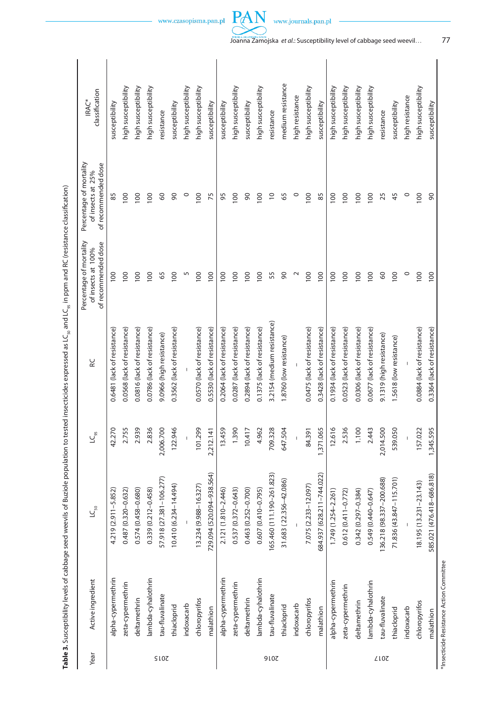|                                                                                                                                              | ercentage of mortality Percentage of mortality<br>of recommended dose<br>of insects at 25% |
|----------------------------------------------------------------------------------------------------------------------------------------------|--------------------------------------------------------------------------------------------|
| vils of Buziole population to tested insecticides expressed as $\mathsf{LC}_s$ and $\mathsf{LC}_s$ in ppm and RC (resistance classification) | of recommended dose<br>of insects at 100%                                                  |
|                                                                                                                                              |                                                                                            |
|                                                                                                                                              |                                                                                            |
|                                                                                                                                              |                                                                                            |
| Table 3. Susceptibility levels of cabbage seed wee                                                                                           | ctive ingredier                                                                            |
|                                                                                                                                              | ear                                                                                        |

|                    |                           |             |                             | of recommended dose | of recommended dose         |                     |
|--------------------|---------------------------|-------------|-----------------------------|---------------------|-----------------------------|---------------------|
| alpha-cypermethrin | 4.219 (2.911-5.852)       | 42.270      | 0.6481 (lack of resistance) | 100                 | 85                          | susceptibility      |
| zeta-cypermethrin  | 0.487 (0.320-0.632)       | 2.755       | 0.0568 (lack of resistance) | 100                 | 100                         | high susceptibility |
| deltamethrin       | 0.574 (0.458-0.680)       | 2.939       | 0.0816 (lack of resistance) | 100                 | 100                         | high susceptibility |
| lambda-cyhalothrin | 0.339 (0.212-0.458)       | 2.836       | 0.0786 (lack of resistance) | 100                 | 100                         | high susceptibility |
| tau-fluvalinate    | 57.918 (27.381-106.277)   | 2,006.700   | 9.0966 (high resistance)    | 65                  | $\mathcal{S}^{\mathcal{O}}$ | resistance          |
| thiacloprid        | 10.410 (6.234-14.494)     | 122.946     | 0.3562 (lack of resistance) | 100                 | $\infty$                    | susceptibility      |
| indoxacarb         |                           |             |                             | S                   | $\circ$                     | high susceptibility |
| chloropyrifos      | 13.234 (9.988-16.327)     | 101.299     | 0.0570 (lack of resistance) | 100                 | 100                         | high susceptibility |
| malathion          | 729.094 (520.094-938.564) | 2,212.141   | 0.5530 (lack of resistance) | 100                 | 75                          | susceptibility      |
| alpha-cypermethrin | 2.121 (1.810-2.446)       | 13.459      | 0.2064 (lack of resistance) | 100                 | 95                          | susceptibility      |
| zeta-cypermethrin  | 0.537 (0.372-0.643)       | 1.390       | 0.0287 (lack of resistance) | 100                 | 100                         | high susceptibility |
| deltamethrin       | 0.463 (0.252-0.700)       | 10.417      | 0.2894 (lack of resistance) | 100                 | $\infty$                    | susceptibility      |
| lambda-cyhalothrin | 0.607 (0.410-0.795)       | 4.962       | 0.1375 (lack of resistance) | 100                 | 100                         | high susceptibility |
| tau-fluvalinate    | 165.460 (111.190-261.823) | 709.328     | 3.2154 (medium resistance)  | 55                  | $\overline{C}$              | resistance          |
| thiacloprid        | 31.683 (22.356-42.086)    | 647.504     | 1.8760 (low resistance)     | $\infty$            | 65                          | medium resistance   |
| indoxacarb         |                           |             |                             | $\sim$              | $\circ$                     | high resistance     |
| chloropyrifos      | 7.075 (2.233-12.097)      | 84.391      | 0.0475 (lack of resistance) | 100                 | 100                         | high susceptibility |
| malathion          | 684.937 (628.211-744.022) | 1,371.065   | 0.3428 (lack of resistance) | 100                 | 85                          | susceptibility      |
| alpha-cypermethrin | 1.749 (1.254-2.261)       | 12.616      | 0.1934 (lack of resistance) | 100                 | 100                         | high susceptibility |
| zeta-cypermethrin  | $0.612(0.411 - 0.772)$    | 2.536       | 0.0523 (lack of resistance) | 100                 | 100                         | high susceptibility |
| deltamethrin       | 0.342 (0.297-0.384)       | 1.100       | 0.0306 (lack of resistance) | 100                 | 100                         | high susceptibility |
| lambda-cyhalothrin | 0.549 (0.440-0.647)       | 2.443       | 0.0677 (lack of resistance) | 100                 | 100                         | high susceptibility |
| tau-fluvalinate    | 136.218 (98.337-200.688)  | 2,014.500   | 9.1319 (high resistance)    | 60                  | 25                          | resistance          |
| thiacloprid        | 71.836 (43.847-115.701)   | 50<br>539.0 | 1.5618 (low resistance)     | 100                 | 45                          | susceptibility      |
| indoxacarb         |                           |             |                             | $\circ$             | $\circ$                     | high resistance     |
| chloropyrifos      | 18.195 (13.231-23.143)    | 157.022     | 0.0884 (lack of resistance) | 100                 | 100                         | high susceptibility |
| malathion          | 585.021 (476.418-686.818) | 1,345.595   | 0.3364 (lack of resistance) | 100                 | 90                          | susceptibility      |



PAN

… 77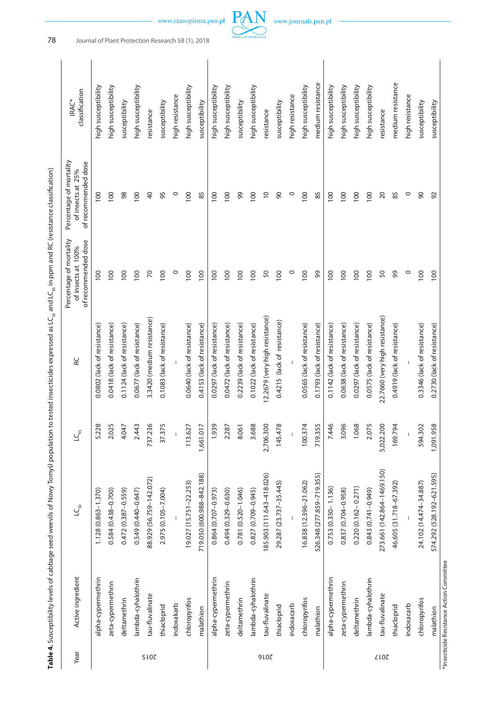Table 4. Susceptibility levels of cabbage seed weevils of Nowy Tomys population to tested insecticides expressed as LC<sub>so</sub> and LC<sub>ss</sub> in ppm and RC (resistance classification)

| medium resistance<br>medium resistance<br>high susceptibility<br>high susceptibility<br>high susceptibility<br>high susceptibility<br>high susceptibility<br>high susceptibility<br>high susceptibility<br>high susceptibility<br>high susceptibility<br>high susceptibility<br>high susceptibility<br>high susceptibility<br>high resistance<br>high resistance<br>high resistance<br>susceptibility<br>susceptibility<br>susceptibility<br>susceptibility<br>susceptibility<br>susceptibility<br>susceptibility<br>resistance<br>resistance<br>resistance<br>98<br>$\overline{0}$<br>$\circ$<br>$\circ$<br>100<br>100<br>100<br>$\overline{a}$<br>95<br>$\circ$<br>100<br>100<br>99<br>100<br>$\infty$<br>100<br>100<br>100<br>20<br>85<br>90<br>85<br>85<br>100<br>100<br>92<br>100<br>100<br>50<br>50<br>99<br>100<br>100<br>100<br>$\overline{70}$<br>100<br>$\circ$<br>100<br>100<br>100<br>100<br>100<br>100<br>$\circ$<br>100<br>99<br>100<br>100<br>$\circ$<br>100<br>100<br>100<br>100<br>100<br>12.2679 (very high resistance)<br>22.7660 (very high resistance)<br>3.3420 (medium resistance)<br>0.4215 (lack of resistance)<br>0.0677 (lack of resistance)<br>0.0418 (lack of resistance)<br>0.1124 (lack of resistance)<br>0.1083 (lack of resistance)<br>0.0640 (lack of resistance)<br>0.2239 (lack of resistance)<br>0.1022 (lack of resistance)<br>0.0565 (lack of resistance)<br>0.0575 (lack of resistance)<br>0.4153 (lack of resistance)<br>0.0472 (lack of resistance)<br>0.1793 (lack of resistance)<br>0.1142 (lack of resistance)<br>0.0638 (lack of resistance)<br>0.0297 (lack of resistance)<br>0.4919 (lack of resistance)<br>0.3346 (lack of resistance)<br>0.2730 (lack of resistance)<br>0.0802 (lack of resistance)<br>0.0297 (lack of resistance)<br>2,706.300<br>100.374<br>5,022.200<br>958<br>2.443<br>737.236<br>37.375<br>3.688<br>145.478<br>719.355<br>7.446<br>3.096<br>1.068<br>2.075<br>169.794<br>5.228<br>2.025<br>4.047<br>113.627<br>1,661.017<br>1.939<br>594.302<br>2.287<br>8.061<br>1,091.<br>273.661 (142.864-1469.150)<br>719.050 (600.988-842.188)<br>185.903 (111.643-418.026)<br>526.348 (277.859-719.355)<br>574.292 (528.192-621.595)<br>88.929 (56.759-142.072)<br>19.027 (15.751-22.253)<br>29.287 (23.737-35.445)<br>16.838 (12.396-21.062)<br>24.102 (14.474-34.887)<br>46.605 (31.718-67.392)<br>$0.220(0.162 - 0.271)$<br>$0.753(0.350 - 1.136)$<br>0.584 (0.438-0.700)<br>0.837 (0.704-0.958)<br>0.843 (0.741-0.949)<br>0.549 (0.440-0.647)<br>2.975 (0.105-7.004)<br>0.781 (0.520-1.046)<br>0.827 (0.709-0.945)<br>0.472 (0.387-0.559)<br>0.494 (0.329-0.630)<br>1.128 (0.863-1.370)<br>0.864 (0.707-0.973)<br>*Insecticide Resistance Action Committee<br>alpha-cypermethrin<br>alpha-cypermethrin<br>lambda-cyhalothrin<br>alpha-cypermethrin<br>lambda-cyhalothrin<br>lambda-cyhalothrin<br>zeta-cypermethrin<br>zeta-cypermethrin<br>zeta-cypermethrin<br>tau-fluvalinate<br>tau-fluvalinate<br>tau-fluvalinate<br>chloropyrifos<br>chloropyrifos<br>chloropyrifos<br>deltamethrin<br>deltamethrin<br>deltamethrin<br>indoxakarb<br>indoxacarb<br>indoxacarb<br>thiacloprid<br>thiacloprid<br>thiacloprid<br>malathion<br>malathion<br>malathion<br><b>SI07</b><br>9107<br><b>ZLOZ</b> | Year | Active ingredient | $LC_{50}$ | $\mathsf{LC}_{\mathsf{gs}}$ | <b>RC</b> | Percentage of mortality<br>of recommended dose<br>of insects at 100% | Percentage of mortality<br>of recommended dose<br>of insects at 25% | classification<br>IRAC* |  |
|----------------------------------------------------------------------------------------------------------------------------------------------------------------------------------------------------------------------------------------------------------------------------------------------------------------------------------------------------------------------------------------------------------------------------------------------------------------------------------------------------------------------------------------------------------------------------------------------------------------------------------------------------------------------------------------------------------------------------------------------------------------------------------------------------------------------------------------------------------------------------------------------------------------------------------------------------------------------------------------------------------------------------------------------------------------------------------------------------------------------------------------------------------------------------------------------------------------------------------------------------------------------------------------------------------------------------------------------------------------------------------------------------------------------------------------------------------------------------------------------------------------------------------------------------------------------------------------------------------------------------------------------------------------------------------------------------------------------------------------------------------------------------------------------------------------------------------------------------------------------------------------------------------------------------------------------------------------------------------------------------------------------------------------------------------------------------------------------------------------------------------------------------------------------------------------------------------------------------------------------------------------------------------------------------------------------------------------------------------------------------------------------------------------------------------------------------------------------------------------------------------------------------------------------------------------------------------------------------------------------------------------------------------------------------------------------------------------------------------------------------------------------------------------------------------------------------------------------------------------------------------------------------------------------------------------------------------------------------------------------------------------------------------------------------------------------------------------------------------------------------------------------------------------------------------------------------------------------------------------------------------------|------|-------------------|-----------|-----------------------------|-----------|----------------------------------------------------------------------|---------------------------------------------------------------------|-------------------------|--|
|                                                                                                                                                                                                                                                                                                                                                                                                                                                                                                                                                                                                                                                                                                                                                                                                                                                                                                                                                                                                                                                                                                                                                                                                                                                                                                                                                                                                                                                                                                                                                                                                                                                                                                                                                                                                                                                                                                                                                                                                                                                                                                                                                                                                                                                                                                                                                                                                                                                                                                                                                                                                                                                                                                                                                                                                                                                                                                                                                                                                                                                                                                                                                                                                                                                                |      |                   |           |                             |           |                                                                      |                                                                     |                         |  |
|                                                                                                                                                                                                                                                                                                                                                                                                                                                                                                                                                                                                                                                                                                                                                                                                                                                                                                                                                                                                                                                                                                                                                                                                                                                                                                                                                                                                                                                                                                                                                                                                                                                                                                                                                                                                                                                                                                                                                                                                                                                                                                                                                                                                                                                                                                                                                                                                                                                                                                                                                                                                                                                                                                                                                                                                                                                                                                                                                                                                                                                                                                                                                                                                                                                                |      |                   |           |                             |           |                                                                      |                                                                     |                         |  |
|                                                                                                                                                                                                                                                                                                                                                                                                                                                                                                                                                                                                                                                                                                                                                                                                                                                                                                                                                                                                                                                                                                                                                                                                                                                                                                                                                                                                                                                                                                                                                                                                                                                                                                                                                                                                                                                                                                                                                                                                                                                                                                                                                                                                                                                                                                                                                                                                                                                                                                                                                                                                                                                                                                                                                                                                                                                                                                                                                                                                                                                                                                                                                                                                                                                                |      |                   |           |                             |           |                                                                      |                                                                     |                         |  |
|                                                                                                                                                                                                                                                                                                                                                                                                                                                                                                                                                                                                                                                                                                                                                                                                                                                                                                                                                                                                                                                                                                                                                                                                                                                                                                                                                                                                                                                                                                                                                                                                                                                                                                                                                                                                                                                                                                                                                                                                                                                                                                                                                                                                                                                                                                                                                                                                                                                                                                                                                                                                                                                                                                                                                                                                                                                                                                                                                                                                                                                                                                                                                                                                                                                                |      |                   |           |                             |           |                                                                      |                                                                     |                         |  |
|                                                                                                                                                                                                                                                                                                                                                                                                                                                                                                                                                                                                                                                                                                                                                                                                                                                                                                                                                                                                                                                                                                                                                                                                                                                                                                                                                                                                                                                                                                                                                                                                                                                                                                                                                                                                                                                                                                                                                                                                                                                                                                                                                                                                                                                                                                                                                                                                                                                                                                                                                                                                                                                                                                                                                                                                                                                                                                                                                                                                                                                                                                                                                                                                                                                                |      |                   |           |                             |           |                                                                      |                                                                     |                         |  |
|                                                                                                                                                                                                                                                                                                                                                                                                                                                                                                                                                                                                                                                                                                                                                                                                                                                                                                                                                                                                                                                                                                                                                                                                                                                                                                                                                                                                                                                                                                                                                                                                                                                                                                                                                                                                                                                                                                                                                                                                                                                                                                                                                                                                                                                                                                                                                                                                                                                                                                                                                                                                                                                                                                                                                                                                                                                                                                                                                                                                                                                                                                                                                                                                                                                                |      |                   |           |                             |           |                                                                      |                                                                     |                         |  |
|                                                                                                                                                                                                                                                                                                                                                                                                                                                                                                                                                                                                                                                                                                                                                                                                                                                                                                                                                                                                                                                                                                                                                                                                                                                                                                                                                                                                                                                                                                                                                                                                                                                                                                                                                                                                                                                                                                                                                                                                                                                                                                                                                                                                                                                                                                                                                                                                                                                                                                                                                                                                                                                                                                                                                                                                                                                                                                                                                                                                                                                                                                                                                                                                                                                                |      |                   |           |                             |           |                                                                      |                                                                     |                         |  |
|                                                                                                                                                                                                                                                                                                                                                                                                                                                                                                                                                                                                                                                                                                                                                                                                                                                                                                                                                                                                                                                                                                                                                                                                                                                                                                                                                                                                                                                                                                                                                                                                                                                                                                                                                                                                                                                                                                                                                                                                                                                                                                                                                                                                                                                                                                                                                                                                                                                                                                                                                                                                                                                                                                                                                                                                                                                                                                                                                                                                                                                                                                                                                                                                                                                                |      |                   |           |                             |           |                                                                      |                                                                     |                         |  |
|                                                                                                                                                                                                                                                                                                                                                                                                                                                                                                                                                                                                                                                                                                                                                                                                                                                                                                                                                                                                                                                                                                                                                                                                                                                                                                                                                                                                                                                                                                                                                                                                                                                                                                                                                                                                                                                                                                                                                                                                                                                                                                                                                                                                                                                                                                                                                                                                                                                                                                                                                                                                                                                                                                                                                                                                                                                                                                                                                                                                                                                                                                                                                                                                                                                                |      |                   |           |                             |           |                                                                      |                                                                     |                         |  |
|                                                                                                                                                                                                                                                                                                                                                                                                                                                                                                                                                                                                                                                                                                                                                                                                                                                                                                                                                                                                                                                                                                                                                                                                                                                                                                                                                                                                                                                                                                                                                                                                                                                                                                                                                                                                                                                                                                                                                                                                                                                                                                                                                                                                                                                                                                                                                                                                                                                                                                                                                                                                                                                                                                                                                                                                                                                                                                                                                                                                                                                                                                                                                                                                                                                                |      |                   |           |                             |           |                                                                      |                                                                     |                         |  |
|                                                                                                                                                                                                                                                                                                                                                                                                                                                                                                                                                                                                                                                                                                                                                                                                                                                                                                                                                                                                                                                                                                                                                                                                                                                                                                                                                                                                                                                                                                                                                                                                                                                                                                                                                                                                                                                                                                                                                                                                                                                                                                                                                                                                                                                                                                                                                                                                                                                                                                                                                                                                                                                                                                                                                                                                                                                                                                                                                                                                                                                                                                                                                                                                                                                                |      |                   |           |                             |           |                                                                      |                                                                     |                         |  |
|                                                                                                                                                                                                                                                                                                                                                                                                                                                                                                                                                                                                                                                                                                                                                                                                                                                                                                                                                                                                                                                                                                                                                                                                                                                                                                                                                                                                                                                                                                                                                                                                                                                                                                                                                                                                                                                                                                                                                                                                                                                                                                                                                                                                                                                                                                                                                                                                                                                                                                                                                                                                                                                                                                                                                                                                                                                                                                                                                                                                                                                                                                                                                                                                                                                                |      |                   |           |                             |           |                                                                      |                                                                     |                         |  |
|                                                                                                                                                                                                                                                                                                                                                                                                                                                                                                                                                                                                                                                                                                                                                                                                                                                                                                                                                                                                                                                                                                                                                                                                                                                                                                                                                                                                                                                                                                                                                                                                                                                                                                                                                                                                                                                                                                                                                                                                                                                                                                                                                                                                                                                                                                                                                                                                                                                                                                                                                                                                                                                                                                                                                                                                                                                                                                                                                                                                                                                                                                                                                                                                                                                                |      |                   |           |                             |           |                                                                      |                                                                     |                         |  |
|                                                                                                                                                                                                                                                                                                                                                                                                                                                                                                                                                                                                                                                                                                                                                                                                                                                                                                                                                                                                                                                                                                                                                                                                                                                                                                                                                                                                                                                                                                                                                                                                                                                                                                                                                                                                                                                                                                                                                                                                                                                                                                                                                                                                                                                                                                                                                                                                                                                                                                                                                                                                                                                                                                                                                                                                                                                                                                                                                                                                                                                                                                                                                                                                                                                                |      |                   |           |                             |           |                                                                      |                                                                     |                         |  |
|                                                                                                                                                                                                                                                                                                                                                                                                                                                                                                                                                                                                                                                                                                                                                                                                                                                                                                                                                                                                                                                                                                                                                                                                                                                                                                                                                                                                                                                                                                                                                                                                                                                                                                                                                                                                                                                                                                                                                                                                                                                                                                                                                                                                                                                                                                                                                                                                                                                                                                                                                                                                                                                                                                                                                                                                                                                                                                                                                                                                                                                                                                                                                                                                                                                                |      |                   |           |                             |           |                                                                      |                                                                     |                         |  |
|                                                                                                                                                                                                                                                                                                                                                                                                                                                                                                                                                                                                                                                                                                                                                                                                                                                                                                                                                                                                                                                                                                                                                                                                                                                                                                                                                                                                                                                                                                                                                                                                                                                                                                                                                                                                                                                                                                                                                                                                                                                                                                                                                                                                                                                                                                                                                                                                                                                                                                                                                                                                                                                                                                                                                                                                                                                                                                                                                                                                                                                                                                                                                                                                                                                                |      |                   |           |                             |           |                                                                      |                                                                     |                         |  |
|                                                                                                                                                                                                                                                                                                                                                                                                                                                                                                                                                                                                                                                                                                                                                                                                                                                                                                                                                                                                                                                                                                                                                                                                                                                                                                                                                                                                                                                                                                                                                                                                                                                                                                                                                                                                                                                                                                                                                                                                                                                                                                                                                                                                                                                                                                                                                                                                                                                                                                                                                                                                                                                                                                                                                                                                                                                                                                                                                                                                                                                                                                                                                                                                                                                                |      |                   |           |                             |           |                                                                      |                                                                     |                         |  |
|                                                                                                                                                                                                                                                                                                                                                                                                                                                                                                                                                                                                                                                                                                                                                                                                                                                                                                                                                                                                                                                                                                                                                                                                                                                                                                                                                                                                                                                                                                                                                                                                                                                                                                                                                                                                                                                                                                                                                                                                                                                                                                                                                                                                                                                                                                                                                                                                                                                                                                                                                                                                                                                                                                                                                                                                                                                                                                                                                                                                                                                                                                                                                                                                                                                                |      |                   |           |                             |           |                                                                      |                                                                     |                         |  |
|                                                                                                                                                                                                                                                                                                                                                                                                                                                                                                                                                                                                                                                                                                                                                                                                                                                                                                                                                                                                                                                                                                                                                                                                                                                                                                                                                                                                                                                                                                                                                                                                                                                                                                                                                                                                                                                                                                                                                                                                                                                                                                                                                                                                                                                                                                                                                                                                                                                                                                                                                                                                                                                                                                                                                                                                                                                                                                                                                                                                                                                                                                                                                                                                                                                                |      |                   |           |                             |           |                                                                      |                                                                     |                         |  |
|                                                                                                                                                                                                                                                                                                                                                                                                                                                                                                                                                                                                                                                                                                                                                                                                                                                                                                                                                                                                                                                                                                                                                                                                                                                                                                                                                                                                                                                                                                                                                                                                                                                                                                                                                                                                                                                                                                                                                                                                                                                                                                                                                                                                                                                                                                                                                                                                                                                                                                                                                                                                                                                                                                                                                                                                                                                                                                                                                                                                                                                                                                                                                                                                                                                                |      |                   |           |                             |           |                                                                      |                                                                     |                         |  |
|                                                                                                                                                                                                                                                                                                                                                                                                                                                                                                                                                                                                                                                                                                                                                                                                                                                                                                                                                                                                                                                                                                                                                                                                                                                                                                                                                                                                                                                                                                                                                                                                                                                                                                                                                                                                                                                                                                                                                                                                                                                                                                                                                                                                                                                                                                                                                                                                                                                                                                                                                                                                                                                                                                                                                                                                                                                                                                                                                                                                                                                                                                                                                                                                                                                                |      |                   |           |                             |           |                                                                      |                                                                     |                         |  |
|                                                                                                                                                                                                                                                                                                                                                                                                                                                                                                                                                                                                                                                                                                                                                                                                                                                                                                                                                                                                                                                                                                                                                                                                                                                                                                                                                                                                                                                                                                                                                                                                                                                                                                                                                                                                                                                                                                                                                                                                                                                                                                                                                                                                                                                                                                                                                                                                                                                                                                                                                                                                                                                                                                                                                                                                                                                                                                                                                                                                                                                                                                                                                                                                                                                                |      |                   |           |                             |           |                                                                      |                                                                     |                         |  |
|                                                                                                                                                                                                                                                                                                                                                                                                                                                                                                                                                                                                                                                                                                                                                                                                                                                                                                                                                                                                                                                                                                                                                                                                                                                                                                                                                                                                                                                                                                                                                                                                                                                                                                                                                                                                                                                                                                                                                                                                                                                                                                                                                                                                                                                                                                                                                                                                                                                                                                                                                                                                                                                                                                                                                                                                                                                                                                                                                                                                                                                                                                                                                                                                                                                                |      |                   |           |                             |           |                                                                      |                                                                     |                         |  |
|                                                                                                                                                                                                                                                                                                                                                                                                                                                                                                                                                                                                                                                                                                                                                                                                                                                                                                                                                                                                                                                                                                                                                                                                                                                                                                                                                                                                                                                                                                                                                                                                                                                                                                                                                                                                                                                                                                                                                                                                                                                                                                                                                                                                                                                                                                                                                                                                                                                                                                                                                                                                                                                                                                                                                                                                                                                                                                                                                                                                                                                                                                                                                                                                                                                                |      |                   |           |                             |           |                                                                      |                                                                     |                         |  |
|                                                                                                                                                                                                                                                                                                                                                                                                                                                                                                                                                                                                                                                                                                                                                                                                                                                                                                                                                                                                                                                                                                                                                                                                                                                                                                                                                                                                                                                                                                                                                                                                                                                                                                                                                                                                                                                                                                                                                                                                                                                                                                                                                                                                                                                                                                                                                                                                                                                                                                                                                                                                                                                                                                                                                                                                                                                                                                                                                                                                                                                                                                                                                                                                                                                                |      |                   |           |                             |           |                                                                      |                                                                     |                         |  |
|                                                                                                                                                                                                                                                                                                                                                                                                                                                                                                                                                                                                                                                                                                                                                                                                                                                                                                                                                                                                                                                                                                                                                                                                                                                                                                                                                                                                                                                                                                                                                                                                                                                                                                                                                                                                                                                                                                                                                                                                                                                                                                                                                                                                                                                                                                                                                                                                                                                                                                                                                                                                                                                                                                                                                                                                                                                                                                                                                                                                                                                                                                                                                                                                                                                                |      |                   |           |                             |           |                                                                      |                                                                     |                         |  |
|                                                                                                                                                                                                                                                                                                                                                                                                                                                                                                                                                                                                                                                                                                                                                                                                                                                                                                                                                                                                                                                                                                                                                                                                                                                                                                                                                                                                                                                                                                                                                                                                                                                                                                                                                                                                                                                                                                                                                                                                                                                                                                                                                                                                                                                                                                                                                                                                                                                                                                                                                                                                                                                                                                                                                                                                                                                                                                                                                                                                                                                                                                                                                                                                                                                                |      |                   |           |                             |           |                                                                      |                                                                     |                         |  |

78 Journal of Plant Protection Research 58 (1), 2018



PAN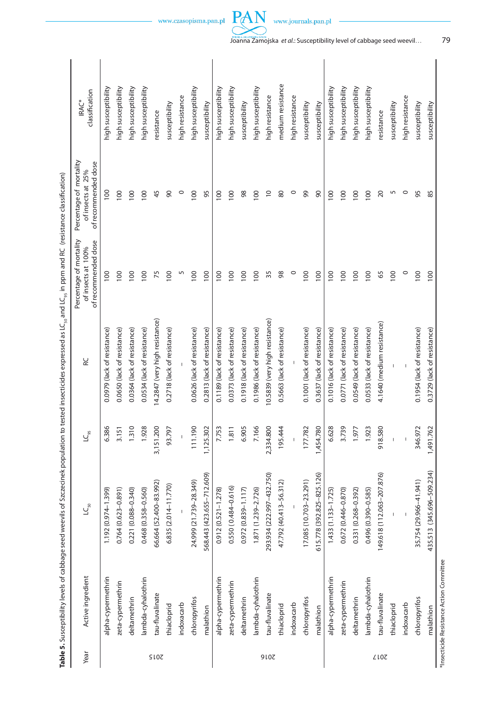|             |                    |                           |                | SO                             |                                                                      |                                                                     |                                |
|-------------|--------------------|---------------------------|----------------|--------------------------------|----------------------------------------------------------------------|---------------------------------------------------------------------|--------------------------------|
| Year        | Active ingredient  | $LC_{\rm 50}$             | $LC_{\rm{gs}}$ | RC                             | Percentage of mortality<br>of recommended dose<br>of insects at 100% | Percentage of mortality<br>of recommended dose<br>of insects at 25% | classification<br><b>IRAC*</b> |
|             | alpha-cypermethrin | 1.192 (0.974-1.399)       | 6.386          | 0.0979 (lack of resistance)    | 100                                                                  | 100                                                                 | high susceptibility            |
|             | zeta-cypermethrin  | $0.764(0.623 - 0.891)$    | 3.151          | 0.0650 (lack of resistance)    | 100                                                                  | 100                                                                 | high susceptibility            |
|             | deltamethrin       | 0.221 (0.088-0.340)       | 1.310          | 0.0364 (lack of resistance)    | 100                                                                  | 100                                                                 | high susceptibility            |
|             | lambda-cyhalothrin | 0.468 (0.358-0.560)       | 1.928          | 0.0534 (lack of resistance)    | 100                                                                  | 100                                                                 | high susceptibility            |
| <b>SI07</b> | tau-fluvalinate    | 66.664 (52.400-83.992)    | 3,151.200      | 14.2847 (very high resistance) | 75                                                                   | 45                                                                  | resistance                     |
|             | thiacloprid        | 6.835 (2.014-11.770)      | 93.797         | 0.2718 (lack of resistance)    | 100                                                                  | $\infty$                                                            | susceptibility                 |
|             | indoxacarb         |                           | $\mathbf{I}$   |                                | S                                                                    | $\circ$                                                             | high resistance                |
|             | chloropyrifos      | 24.999 (21.739-28.349)    | 111.190        | 0.0626 (lack of resistance)    | 100                                                                  | 100                                                                 | high susceptibility            |
|             | malathion          | 568.443 (423.655–712.609) | 1,125.302      | 0.2813 (lack of resistance)    | 100                                                                  | 95                                                                  | susceptibility                 |
|             | alpha-cypermethrin | $0.912(0.521 - 1.278)$    | 7.753          | 0.1189 (lack of resistance)    | 100                                                                  | 100                                                                 | high susceptibility            |
|             | zeta-cypermethrin  | $0.550(0.484 - 0.616)$    | 1.811          | 0.0373 (lack of resistance)    | 100                                                                  | 100                                                                 | high susceptibility            |
|             | deltamethrin       | $0.972(0.839 - 1.117)$    | 6.905          | 0.1918 (lack of resistance)    | 100                                                                  | $98$                                                                | susceptibility                 |
|             | ambda-cyhalothrin  | 1.871 (1.239-2.726)       | 7.166          | 0.1986 (lack of resistance)    | 100                                                                  | 100                                                                 | high susceptibility            |
| 910Z        | tau-fluvalinate    | 293.934 (222.997-432.750) | 2,334.800      | 10.5839 (very high resistance) | 35                                                                   | $\overline{0}$                                                      | high resistance                |
|             | thiacloprid        | 47.792 (40.413-56.312)    | 195.444        | 0.5663 (lack of resistance)    | 98                                                                   | 80                                                                  | medium resistance              |
|             | indoxacarb         |                           |                |                                | $\circ$                                                              | $\circ$                                                             | high resistance                |
|             | chloropyrifos      | 17.085 (10.703-23.291)    | 177.782        | 0.1001 (lack of resistance)    | 100                                                                  | 99                                                                  | susceptibility                 |
|             | malathion          | 615.778 (392.825-825.126) | 1,454.780      | 0.3637 (lack of resistance)    | 100                                                                  | 90                                                                  | susceptibility                 |
|             | alpha-cypermethrin | 1.433 (1.133-1.725)       | 6.628          | 0.1016 (lack of resistance)    | 100                                                                  | 100                                                                 | high susceptibility            |
|             | zeta-cypermethrin  | 0.672 (0.446-0.870)       | 3.739          | 0.0771 (lack of resistance)    | 100                                                                  | 100                                                                 | high susceptibility            |
|             | deltamethrin       | 0.331 (0.268-0.392)       | 1.977          | 0.0549 (lack of resistance)    | 100                                                                  | 100                                                                 | high susceptibility            |
|             | lambda-cyhalothrin | 0.496 (0.390-0.585)       | 1.923          | 0.0533 (lack of resistance)    | 100                                                                  | 100                                                                 | high susceptibility            |
| <b>ZLOZ</b> | tau-fluvalinate    | 149.618 (112.063-207.876) | 918.580        | 4.1640 (medium resistance)     | 65                                                                   | 20                                                                  | resistance                     |
|             | thiacloprid        |                           |                |                                | 100                                                                  | 5                                                                   | susceptibility                 |
|             | indoxacarb         |                           |                |                                | $\circ$                                                              | $\circ$                                                             | high resistance                |
|             | chloropyrifos      | 35.754 (29.966-41.941)    | 346.972        | 0.1954 (lack of resistance)    | 100                                                                  | 95                                                                  | susceptibility                 |

**Table 5.** Susceptibility levels of cabbage seed weevils of Szczecinek population to tested insecticides expressed as LC50 and LC95 in ppm and RC (resistance classification)

\*Insecticide Resistance Action Committee \*Insecticide Resistance Action Committee

malathion

malathion 435.513 (345.696–5096-5096-5096-5096-50929 (lack of resistance) 100 0.3729 (lack of resistance) 100

0.3729 (lack of resistance)

1,491.762

435.513 (345.696-509.234)



PAN

susceptibility

85

100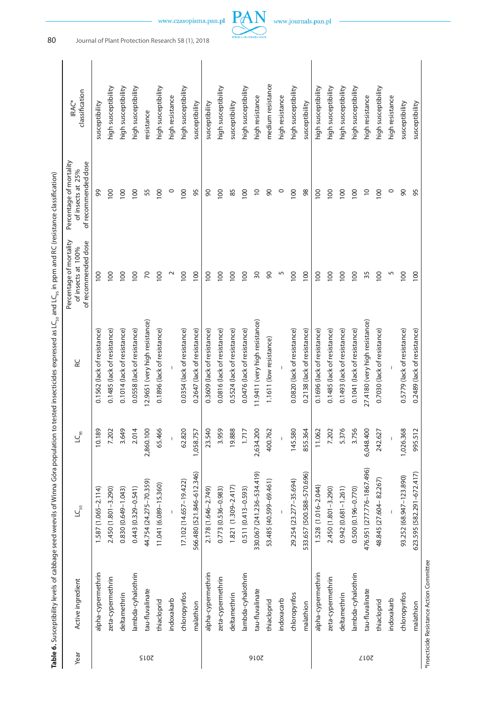| medium resistance<br>high susceptibility<br>high susceptibility<br>high susceptibility<br>high susceptibility<br>high susceptibility<br>high susceptibility<br>high susceptibility<br>high susceptibility<br>high susceptibility<br>high susceptibility<br>high susceptibility<br>high susceptibility<br>high susceptibility<br>high resistance<br>high resistance<br>high resistance<br>high resistance<br>high resistance<br>susceptibility<br>susceptibility<br>susceptibility<br>susceptibility<br>susceptibility<br>susceptibility<br>susceptibility<br>resistance<br>99<br>100<br>100<br>55<br>100<br>$\circ$<br>100<br>95<br>100<br>85<br>$\supseteq$<br>90<br>$\circ$<br>100<br>98<br>100<br>100<br>100<br>$\overline{0}$<br>100<br>$\circ$<br>90<br>95<br>100<br>90<br>100<br>100<br>100<br>30<br>90<br>100<br>100<br>100<br>100<br>$\overline{70}$<br>100<br>$\sim$<br>100<br>100<br>100<br>100<br>5<br>100<br>100<br>100<br>100<br>35<br>100<br>5<br>100<br>100<br>100<br>100<br>100<br>12.9651 (very high resistance)<br>11.9411 (very high resistance)<br>27.4180 (very high resistance)<br>0.1014 (lack of resistance)<br>0.0354 (lack of resistance)<br>0.0816 (lack of resistance)<br>0.0820 (lack of resistance)<br>0.5779 (lack of resistance)<br>0.1485 (lack of resistance)<br>0.0558 (lack of resistance)<br>0.1896 (lack of resistance)<br>0.2647 (lack of resistance)<br>0.3609 (lack of resistance)<br>0.5524 (lack of resistance)<br>0.0476 (lack of resistance)<br>0.2138 (lack of resistance)<br>0.1485 (lack of resistance)<br>0.1493 (lack of resistance)<br>0.1041 (lack of resistance)<br>0.1562 (lack of resistance)<br>0.1696 (lack of resistance)<br>0.7030 (lack of resistance)<br>0.2489 (lack of resistance)<br>1.1611 (low resistance)<br>855.364<br>995.512<br>3.649<br>62.820<br>3.959<br>2,634.200<br>145.580<br>6,048.400<br>1,026.368<br>10.189<br>2.014<br>2,860.100<br>65.466<br>1,058.757<br>23.540<br>19.888<br>7.202<br>5.376<br>3.756<br>7.202<br>1.717<br>400.762<br>11.062<br>242.627<br>476.951 (277.776-1867.496)<br>566.480 (521.846-612.346)<br>330.067 (241.236-534.419)<br>623.595 (582.291-672.417)<br>533.657 (500.588-570.696)<br>93.252 (68.947-123.890)<br>48.845 (27.604 - 82.267)<br>53.485 (40.599-69.461)<br>29.254 (23.277-35.694)<br>44.754 (24.275-70.359)<br>17.102 (14.657-19.422)<br>11.041 (6.089-15.360)<br>$1.821(1.309 - 2.417)$<br>1.528 (1.016-2.044)<br>$0.443(0.329 - 0.541)$<br>$0.942(0.681 - 1.261)$<br>0.773 (0.536-0.983)<br>0.511 (0.413-0.593)<br>2.450 (1.801-3.290)<br>0.500 (0.196-0.770)<br>$1.587(1.065 - 2.114)$<br>2.450 (1.801-3.290)<br>0.830 (0.649-1.043)<br>2.178 (1.646-2.749)<br>alpha-cypermethrin<br>alpha-cypermethrin<br>alpha-cypermethrin<br>lambda-cyhalothrin<br>lambda-cyhalothrin<br>lambda-cyhalothrin<br>zeta-cypermethrin<br>zeta-cypermethrin<br>zeta-cypermethrin<br>tau-fluvalinate<br>tau-fluvalinate<br>tau-fluvalinate<br>chloropyrifos<br>chloropyrifos<br>deltamethrin<br>deltamethrin<br>deltamethrin<br>chloropyrifos<br>indoxakarb<br>indoxakarb<br>indoxacarb<br>thiacloprid<br>thiacloprid<br>thiacloprid<br>malathion<br>malathion<br>malathion<br><b>2015</b><br>910Z<br><b>7017</b> | Year | Active ingredient | $L_{50}$ | $LC_{\rm{gs}}$ | œ | Percentage of mortality<br>of recommended dose<br>of insects at 100% | Percentage of mortality<br>of recommended dose<br>of insects at 25% | classification<br>IRAC* |
|-----------------------------------------------------------------------------------------------------------------------------------------------------------------------------------------------------------------------------------------------------------------------------------------------------------------------------------------------------------------------------------------------------------------------------------------------------------------------------------------------------------------------------------------------------------------------------------------------------------------------------------------------------------------------------------------------------------------------------------------------------------------------------------------------------------------------------------------------------------------------------------------------------------------------------------------------------------------------------------------------------------------------------------------------------------------------------------------------------------------------------------------------------------------------------------------------------------------------------------------------------------------------------------------------------------------------------------------------------------------------------------------------------------------------------------------------------------------------------------------------------------------------------------------------------------------------------------------------------------------------------------------------------------------------------------------------------------------------------------------------------------------------------------------------------------------------------------------------------------------------------------------------------------------------------------------------------------------------------------------------------------------------------------------------------------------------------------------------------------------------------------------------------------------------------------------------------------------------------------------------------------------------------------------------------------------------------------------------------------------------------------------------------------------------------------------------------------------------------------------------------------------------------------------------------------------------------------------------------------------------------------------------------------------------------------------------------------------------------------------------------------------------------------------------------------------------------------------------------------------------------------------------------------------------------------------------------------------------------------------------------------------------------------------------------------------------------------------------------------------------------------------------------------------------------------------------------------------------|------|-------------------|----------|----------------|---|----------------------------------------------------------------------|---------------------------------------------------------------------|-------------------------|
|                                                                                                                                                                                                                                                                                                                                                                                                                                                                                                                                                                                                                                                                                                                                                                                                                                                                                                                                                                                                                                                                                                                                                                                                                                                                                                                                                                                                                                                                                                                                                                                                                                                                                                                                                                                                                                                                                                                                                                                                                                                                                                                                                                                                                                                                                                                                                                                                                                                                                                                                                                                                                                                                                                                                                                                                                                                                                                                                                                                                                                                                                                                                                                                                                       |      |                   |          |                |   |                                                                      |                                                                     |                         |
|                                                                                                                                                                                                                                                                                                                                                                                                                                                                                                                                                                                                                                                                                                                                                                                                                                                                                                                                                                                                                                                                                                                                                                                                                                                                                                                                                                                                                                                                                                                                                                                                                                                                                                                                                                                                                                                                                                                                                                                                                                                                                                                                                                                                                                                                                                                                                                                                                                                                                                                                                                                                                                                                                                                                                                                                                                                                                                                                                                                                                                                                                                                                                                                                                       |      |                   |          |                |   |                                                                      |                                                                     |                         |
|                                                                                                                                                                                                                                                                                                                                                                                                                                                                                                                                                                                                                                                                                                                                                                                                                                                                                                                                                                                                                                                                                                                                                                                                                                                                                                                                                                                                                                                                                                                                                                                                                                                                                                                                                                                                                                                                                                                                                                                                                                                                                                                                                                                                                                                                                                                                                                                                                                                                                                                                                                                                                                                                                                                                                                                                                                                                                                                                                                                                                                                                                                                                                                                                                       |      |                   |          |                |   |                                                                      |                                                                     |                         |
|                                                                                                                                                                                                                                                                                                                                                                                                                                                                                                                                                                                                                                                                                                                                                                                                                                                                                                                                                                                                                                                                                                                                                                                                                                                                                                                                                                                                                                                                                                                                                                                                                                                                                                                                                                                                                                                                                                                                                                                                                                                                                                                                                                                                                                                                                                                                                                                                                                                                                                                                                                                                                                                                                                                                                                                                                                                                                                                                                                                                                                                                                                                                                                                                                       |      |                   |          |                |   |                                                                      |                                                                     |                         |
|                                                                                                                                                                                                                                                                                                                                                                                                                                                                                                                                                                                                                                                                                                                                                                                                                                                                                                                                                                                                                                                                                                                                                                                                                                                                                                                                                                                                                                                                                                                                                                                                                                                                                                                                                                                                                                                                                                                                                                                                                                                                                                                                                                                                                                                                                                                                                                                                                                                                                                                                                                                                                                                                                                                                                                                                                                                                                                                                                                                                                                                                                                                                                                                                                       |      |                   |          |                |   |                                                                      |                                                                     |                         |
|                                                                                                                                                                                                                                                                                                                                                                                                                                                                                                                                                                                                                                                                                                                                                                                                                                                                                                                                                                                                                                                                                                                                                                                                                                                                                                                                                                                                                                                                                                                                                                                                                                                                                                                                                                                                                                                                                                                                                                                                                                                                                                                                                                                                                                                                                                                                                                                                                                                                                                                                                                                                                                                                                                                                                                                                                                                                                                                                                                                                                                                                                                                                                                                                                       |      |                   |          |                |   |                                                                      |                                                                     |                         |
|                                                                                                                                                                                                                                                                                                                                                                                                                                                                                                                                                                                                                                                                                                                                                                                                                                                                                                                                                                                                                                                                                                                                                                                                                                                                                                                                                                                                                                                                                                                                                                                                                                                                                                                                                                                                                                                                                                                                                                                                                                                                                                                                                                                                                                                                                                                                                                                                                                                                                                                                                                                                                                                                                                                                                                                                                                                                                                                                                                                                                                                                                                                                                                                                                       |      |                   |          |                |   |                                                                      |                                                                     |                         |
|                                                                                                                                                                                                                                                                                                                                                                                                                                                                                                                                                                                                                                                                                                                                                                                                                                                                                                                                                                                                                                                                                                                                                                                                                                                                                                                                                                                                                                                                                                                                                                                                                                                                                                                                                                                                                                                                                                                                                                                                                                                                                                                                                                                                                                                                                                                                                                                                                                                                                                                                                                                                                                                                                                                                                                                                                                                                                                                                                                                                                                                                                                                                                                                                                       |      |                   |          |                |   |                                                                      |                                                                     |                         |
|                                                                                                                                                                                                                                                                                                                                                                                                                                                                                                                                                                                                                                                                                                                                                                                                                                                                                                                                                                                                                                                                                                                                                                                                                                                                                                                                                                                                                                                                                                                                                                                                                                                                                                                                                                                                                                                                                                                                                                                                                                                                                                                                                                                                                                                                                                                                                                                                                                                                                                                                                                                                                                                                                                                                                                                                                                                                                                                                                                                                                                                                                                                                                                                                                       |      |                   |          |                |   |                                                                      |                                                                     |                         |
|                                                                                                                                                                                                                                                                                                                                                                                                                                                                                                                                                                                                                                                                                                                                                                                                                                                                                                                                                                                                                                                                                                                                                                                                                                                                                                                                                                                                                                                                                                                                                                                                                                                                                                                                                                                                                                                                                                                                                                                                                                                                                                                                                                                                                                                                                                                                                                                                                                                                                                                                                                                                                                                                                                                                                                                                                                                                                                                                                                                                                                                                                                                                                                                                                       |      |                   |          |                |   |                                                                      |                                                                     |                         |
|                                                                                                                                                                                                                                                                                                                                                                                                                                                                                                                                                                                                                                                                                                                                                                                                                                                                                                                                                                                                                                                                                                                                                                                                                                                                                                                                                                                                                                                                                                                                                                                                                                                                                                                                                                                                                                                                                                                                                                                                                                                                                                                                                                                                                                                                                                                                                                                                                                                                                                                                                                                                                                                                                                                                                                                                                                                                                                                                                                                                                                                                                                                                                                                                                       |      |                   |          |                |   |                                                                      |                                                                     |                         |
|                                                                                                                                                                                                                                                                                                                                                                                                                                                                                                                                                                                                                                                                                                                                                                                                                                                                                                                                                                                                                                                                                                                                                                                                                                                                                                                                                                                                                                                                                                                                                                                                                                                                                                                                                                                                                                                                                                                                                                                                                                                                                                                                                                                                                                                                                                                                                                                                                                                                                                                                                                                                                                                                                                                                                                                                                                                                                                                                                                                                                                                                                                                                                                                                                       |      |                   |          |                |   |                                                                      |                                                                     |                         |
|                                                                                                                                                                                                                                                                                                                                                                                                                                                                                                                                                                                                                                                                                                                                                                                                                                                                                                                                                                                                                                                                                                                                                                                                                                                                                                                                                                                                                                                                                                                                                                                                                                                                                                                                                                                                                                                                                                                                                                                                                                                                                                                                                                                                                                                                                                                                                                                                                                                                                                                                                                                                                                                                                                                                                                                                                                                                                                                                                                                                                                                                                                                                                                                                                       |      |                   |          |                |   |                                                                      |                                                                     |                         |
|                                                                                                                                                                                                                                                                                                                                                                                                                                                                                                                                                                                                                                                                                                                                                                                                                                                                                                                                                                                                                                                                                                                                                                                                                                                                                                                                                                                                                                                                                                                                                                                                                                                                                                                                                                                                                                                                                                                                                                                                                                                                                                                                                                                                                                                                                                                                                                                                                                                                                                                                                                                                                                                                                                                                                                                                                                                                                                                                                                                                                                                                                                                                                                                                                       |      |                   |          |                |   |                                                                      |                                                                     |                         |
|                                                                                                                                                                                                                                                                                                                                                                                                                                                                                                                                                                                                                                                                                                                                                                                                                                                                                                                                                                                                                                                                                                                                                                                                                                                                                                                                                                                                                                                                                                                                                                                                                                                                                                                                                                                                                                                                                                                                                                                                                                                                                                                                                                                                                                                                                                                                                                                                                                                                                                                                                                                                                                                                                                                                                                                                                                                                                                                                                                                                                                                                                                                                                                                                                       |      |                   |          |                |   |                                                                      |                                                                     |                         |
|                                                                                                                                                                                                                                                                                                                                                                                                                                                                                                                                                                                                                                                                                                                                                                                                                                                                                                                                                                                                                                                                                                                                                                                                                                                                                                                                                                                                                                                                                                                                                                                                                                                                                                                                                                                                                                                                                                                                                                                                                                                                                                                                                                                                                                                                                                                                                                                                                                                                                                                                                                                                                                                                                                                                                                                                                                                                                                                                                                                                                                                                                                                                                                                                                       |      |                   |          |                |   |                                                                      |                                                                     |                         |
|                                                                                                                                                                                                                                                                                                                                                                                                                                                                                                                                                                                                                                                                                                                                                                                                                                                                                                                                                                                                                                                                                                                                                                                                                                                                                                                                                                                                                                                                                                                                                                                                                                                                                                                                                                                                                                                                                                                                                                                                                                                                                                                                                                                                                                                                                                                                                                                                                                                                                                                                                                                                                                                                                                                                                                                                                                                                                                                                                                                                                                                                                                                                                                                                                       |      |                   |          |                |   |                                                                      |                                                                     |                         |
|                                                                                                                                                                                                                                                                                                                                                                                                                                                                                                                                                                                                                                                                                                                                                                                                                                                                                                                                                                                                                                                                                                                                                                                                                                                                                                                                                                                                                                                                                                                                                                                                                                                                                                                                                                                                                                                                                                                                                                                                                                                                                                                                                                                                                                                                                                                                                                                                                                                                                                                                                                                                                                                                                                                                                                                                                                                                                                                                                                                                                                                                                                                                                                                                                       |      |                   |          |                |   |                                                                      |                                                                     |                         |
|                                                                                                                                                                                                                                                                                                                                                                                                                                                                                                                                                                                                                                                                                                                                                                                                                                                                                                                                                                                                                                                                                                                                                                                                                                                                                                                                                                                                                                                                                                                                                                                                                                                                                                                                                                                                                                                                                                                                                                                                                                                                                                                                                                                                                                                                                                                                                                                                                                                                                                                                                                                                                                                                                                                                                                                                                                                                                                                                                                                                                                                                                                                                                                                                                       |      |                   |          |                |   |                                                                      |                                                                     |                         |
|                                                                                                                                                                                                                                                                                                                                                                                                                                                                                                                                                                                                                                                                                                                                                                                                                                                                                                                                                                                                                                                                                                                                                                                                                                                                                                                                                                                                                                                                                                                                                                                                                                                                                                                                                                                                                                                                                                                                                                                                                                                                                                                                                                                                                                                                                                                                                                                                                                                                                                                                                                                                                                                                                                                                                                                                                                                                                                                                                                                                                                                                                                                                                                                                                       |      |                   |          |                |   |                                                                      |                                                                     |                         |
|                                                                                                                                                                                                                                                                                                                                                                                                                                                                                                                                                                                                                                                                                                                                                                                                                                                                                                                                                                                                                                                                                                                                                                                                                                                                                                                                                                                                                                                                                                                                                                                                                                                                                                                                                                                                                                                                                                                                                                                                                                                                                                                                                                                                                                                                                                                                                                                                                                                                                                                                                                                                                                                                                                                                                                                                                                                                                                                                                                                                                                                                                                                                                                                                                       |      |                   |          |                |   |                                                                      |                                                                     |                         |
|                                                                                                                                                                                                                                                                                                                                                                                                                                                                                                                                                                                                                                                                                                                                                                                                                                                                                                                                                                                                                                                                                                                                                                                                                                                                                                                                                                                                                                                                                                                                                                                                                                                                                                                                                                                                                                                                                                                                                                                                                                                                                                                                                                                                                                                                                                                                                                                                                                                                                                                                                                                                                                                                                                                                                                                                                                                                                                                                                                                                                                                                                                                                                                                                                       |      |                   |          |                |   |                                                                      |                                                                     |                         |
|                                                                                                                                                                                                                                                                                                                                                                                                                                                                                                                                                                                                                                                                                                                                                                                                                                                                                                                                                                                                                                                                                                                                                                                                                                                                                                                                                                                                                                                                                                                                                                                                                                                                                                                                                                                                                                                                                                                                                                                                                                                                                                                                                                                                                                                                                                                                                                                                                                                                                                                                                                                                                                                                                                                                                                                                                                                                                                                                                                                                                                                                                                                                                                                                                       |      |                   |          |                |   |                                                                      |                                                                     |                         |
|                                                                                                                                                                                                                                                                                                                                                                                                                                                                                                                                                                                                                                                                                                                                                                                                                                                                                                                                                                                                                                                                                                                                                                                                                                                                                                                                                                                                                                                                                                                                                                                                                                                                                                                                                                                                                                                                                                                                                                                                                                                                                                                                                                                                                                                                                                                                                                                                                                                                                                                                                                                                                                                                                                                                                                                                                                                                                                                                                                                                                                                                                                                                                                                                                       |      |                   |          |                |   |                                                                      |                                                                     |                         |
|                                                                                                                                                                                                                                                                                                                                                                                                                                                                                                                                                                                                                                                                                                                                                                                                                                                                                                                                                                                                                                                                                                                                                                                                                                                                                                                                                                                                                                                                                                                                                                                                                                                                                                                                                                                                                                                                                                                                                                                                                                                                                                                                                                                                                                                                                                                                                                                                                                                                                                                                                                                                                                                                                                                                                                                                                                                                                                                                                                                                                                                                                                                                                                                                                       |      |                   |          |                |   |                                                                      |                                                                     |                         |
|                                                                                                                                                                                                                                                                                                                                                                                                                                                                                                                                                                                                                                                                                                                                                                                                                                                                                                                                                                                                                                                                                                                                                                                                                                                                                                                                                                                                                                                                                                                                                                                                                                                                                                                                                                                                                                                                                                                                                                                                                                                                                                                                                                                                                                                                                                                                                                                                                                                                                                                                                                                                                                                                                                                                                                                                                                                                                                                                                                                                                                                                                                                                                                                                                       |      |                   |          |                |   |                                                                      |                                                                     |                         |
|                                                                                                                                                                                                                                                                                                                                                                                                                                                                                                                                                                                                                                                                                                                                                                                                                                                                                                                                                                                                                                                                                                                                                                                                                                                                                                                                                                                                                                                                                                                                                                                                                                                                                                                                                                                                                                                                                                                                                                                                                                                                                                                                                                                                                                                                                                                                                                                                                                                                                                                                                                                                                                                                                                                                                                                                                                                                                                                                                                                                                                                                                                                                                                                                                       |      |                   |          |                |   |                                                                      |                                                                     |                         |

www.czasopisma.pan.pl

PAN www.journals.pan.pl

80 Journal of Plant Protection Research 58 (1), 2018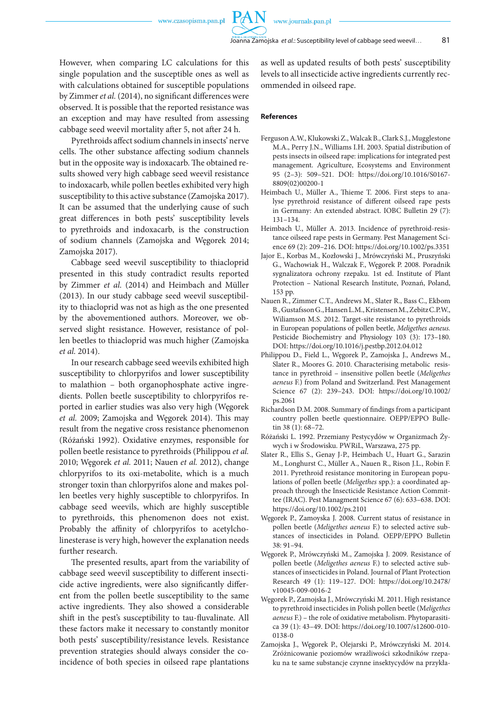PA

However, when comparing LC calculations for this single population and the susceptible ones as well as with calculations obtained for susceptible populations by Zimmer *et al.* (2014), no significant differences were observed. It is possible that the reported resistance was an exception and may have resulted from assessing cabbage seed weevil mortality after 5, not after 24 h.

Pyrethroids affect sodium channels in insects' nerve cells. The other substance affecting sodium channels but in the opposite way is indoxacarb. The obtained results showed very high cabbage seed weevil resistance to indoxacarb, while pollen beetles exhibited very high susceptibility to this active substance (Zamojska 2017). It can be assumed that the underlying cause of such great differences in both pests' susceptibility levels to pyrethroids and indoxacarb, is the construction of sodium channels (Zamojska and Węgorek 2014; Zamojska 2017).

Cabbage seed weevil susceptibility to thiacloprid presented in this study contradict results reported by Zimmer *et al.* (2014) and Heimbach and Müller (2013). In our study cabbage seed weevil susceptibility to thiacloprid was not as high as the one presented by the abovementioned authors. Moreover, we observed slight resistance. However, resistance of pollen beetles to thiacloprid was much higher (Zamojska *et al.* 2014).

In our research cabbage seed weevils exhibited high susceptibility to chlorpyrifos and lower susceptibility to malathion – both organophosphate active ingredients. Pollen beetle susceptibility to chlorpyrifos reported in earlier studies was also very high (Węgorek *et al.* 2009; Zamojska and Węgorek 2014). This may result from the negative cross resistance phenomenon (Różański 1992). Oxidative enzymes, responsible for pollen beetle resistance to pyrethroids (Philippou *et al.* 2010; Węgorek *et al.* 2011; Nauen *et al.* 2012), change chlorpyrifos to its oxi-metabolite, which is a much stronger toxin than chlorpyrifos alone and makes pollen beetles very highly susceptible to chlorpyrifos. In cabbage seed weevils, which are highly susceptible to pyrethroids, this phenomenon does not exist. Probably the affinity of chlorpyrifos to acetylcholinesterase is very high, however the explanation needs further research.

The presented results, apart from the variability of cabbage seed weevil susceptibility to different insecticide active ingredients, were also significantly different from the pollen beetle susceptibility to the same active ingredients. They also showed a considerable shift in the pest's susceptibility to tau-fluvalinate. All these factors make it necessary to constantly monitor both pests' susceptibility/resistance levels. Resistance prevention strategies should always consider the coincidence of both species in oilseed rape plantations

as well as updated results of both pests' susceptibility levels to all insecticide active ingredients currently recommended in oilseed rape.

### **References**

- Ferguson A.W., Klukowski Z., Walcak B., Clark S.J., Mugglestone M.A., Perry J.N., Williams I.H. 2003. Spatial distribution of pests insects in oilseed rape: implications for integrated pest management. Agriculture, Ecosystems and Environment 95 (2–3): 509–521. DOI: https://doi.org/10.1016/S0167- 8809(02)00200-1
- Heimbach U., Müller A., Thieme T. 2006. First steps to analyse pyrethroid resistance of different oilseed rape pests in Germany: An extended abstract. IOBC Bulletin 29 (7): 131–134.
- Heimbach U., Müller A. 2013. Incidence of pyrethroid-resistance oilseed rape pests in Germany. Pest Management Science 69 (2): 209–216. DOI: https://doi.org/10.1002/ps.3351
- Jajor E., Korbas M., Kozłowski J., Mrówczyński M., Pruszyński G., Wachowiak H., Walczak F., Węgorek P. 2008. Poradnik sygnalizatora ochrony rzepaku. 1st ed. Institute of Plant Protection – National Research Institute, Poznań, Poland, 153 pp.
- Nauen R., Zimmer C.T., Andrews M., Slater R., Bass C., Ekbom B., Gustafsson G., Hansen L.M., Kristensen M., Zebitz C.P.W., Wiliamson M.S. 2012. Target-site resistance to pyrethroids in European populations of pollen beetle, *Meligethes aeneus.* Pesticide Biochemistry and Physiology 103 (3): 173–180. DOI: https://doi.org/10.1016/j.pestbp.2012.04.012
- Philippou D., Field L., Węgorek P., Zamojska J., Andrews M., Slater R., Moores G. 2010. Characterising metabolic resistance in pyrethroid – insensitive pollen beetle (*Meligethes aeneus* F.) from Poland and Switzerland. Pest Management Science 67 (2): 239–243. DOI: https://doi.org/10.1002/ ps.2061
- Richardson D.M. 2008. Summary of findings from a participant country pollen beetle questionnaire. OEPP/EPPO Bulletin 38 (1): 68–72.
- Różański L. 1992. Przemiany Pestycydów w Organizmach Żywych i w Środowisku. PWRiL, Warszawa, 275 pp.
- Slater R., Ellis S., Genay J-P., Heimbach U., Huart G., Sarazin M., Longhurst C., Müller A., Nauen R., Rison J.L., Robin F. 2011. Pyrethroid resistance monitoring in European populations of pollen beetle (*Meligethes* spp.): a coordinated approach through the Insecticide Resistance Action Committee (IRAC). Pest Managment Science 67 (6): 633–638. DOI: https://doi.org/10.1002/ps.2101
- Węgorek P., Zamoyska J. 2008. Current status of resistance in pollen beetle (*Meligethes aeneus* F.) to selected active substances of insecticides in Poland. OEPP/EPPO Bulletin 38: 91–94.
- Węgorek P., Mrówczyński M., Zamojska J. 2009. Resistance of pollen beetle (*Meligethes aeneus* F.) to selected active substances of insecticides in Poland. Journal of Plant Protection Research 49 (1): 119–127. DOI: https://doi.org/10.2478/ v10045-009-0016-2
- Węgorek P., Zamojska J., Mrówczyński M. 2011. High resistance to pyrethroid insecticides in Polish pollen beetle (M*eligethes aeneus* F.) – the role of oxidative metabolism. Phytoparasitica 39 (1): 43–49. DOI: https://doi.org/10.1007/s12600-010- 0138-0
- Zamojska J., Węgorek P., Olejarski P., Mrówczyński M. 2014. Zróżnicowanie poziomów wrażliwości szkodników rzepaku na te same substancje czynne insektycydów na przykła-